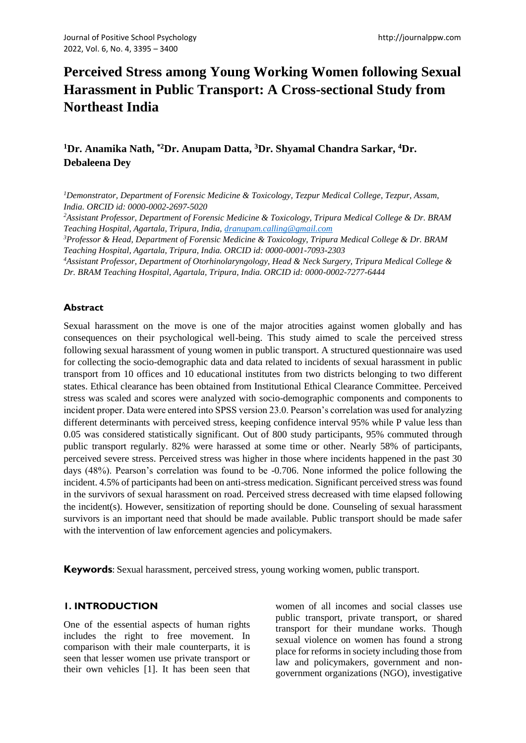# **Perceived Stress among Young Working Women following Sexual Harassment in Public Transport: A Cross-sectional Study from Northeast India**

## **<sup>1</sup>Dr. Anamika Nath, \*2Dr. Anupam Datta, <sup>3</sup>Dr. Shyamal Chandra Sarkar, <sup>4</sup>Dr. Debaleena Dey**

*<sup>1</sup>Demonstrator, Department of Forensic Medicine & Toxicology, Tezpur Medical College, Tezpur, Assam, India. ORCID id: 0000-0002-2697-5020*

*<sup>2</sup>Assistant Professor, Department of Forensic Medicine & Toxicology, Tripura Medical College & Dr. BRAM Teaching Hospital, Agartala, Tripura, India, [dranupam.calling@gmail.com](mailto:dranupam.calling@gmail.com)*

*<sup>3</sup>Professor & Head, Department of Forensic Medicine & Toxicology, Tripura Medical College & Dr. BRAM Teaching Hospital, Agartala, Tripura, India. ORCID id: 0000-0001-7093-2303*

*<sup>4</sup>Assistant Professor, Department of Otorhinolaryngology, Head & Neck Surgery, Tripura Medical College & Dr. BRAM Teaching Hospital, Agartala, Tripura, India. ORCID id: 0000-0002-7277-6444*

#### **Abstract**

Sexual harassment on the move is one of the major atrocities against women globally and has consequences on their psychological well-being. This study aimed to scale the perceived stress following sexual harassment of young women in public transport. A structured questionnaire was used for collecting the socio-demographic data and data related to incidents of sexual harassment in public transport from 10 offices and 10 educational institutes from two districts belonging to two different states. Ethical clearance has been obtained from Institutional Ethical Clearance Committee. Perceived stress was scaled and scores were analyzed with socio-demographic components and components to incident proper. Data were entered into SPSS version 23.0. Pearson's correlation was used for analyzing different determinants with perceived stress, keeping confidence interval 95% while P value less than 0.05 was considered statistically significant. Out of 800 study participants, 95% commuted through public transport regularly. 82% were harassed at some time or other. Nearly 58% of participants, perceived severe stress. Perceived stress was higher in those where incidents happened in the past 30 days (48%). Pearson's correlation was found to be -0.706. None informed the police following the incident. 4.5% of participants had been on anti-stress medication. Significant perceived stress was found in the survivors of sexual harassment on road. Perceived stress decreased with time elapsed following the incident(s). However, sensitization of reporting should be done. Counseling of sexual harassment survivors is an important need that should be made available. Public transport should be made safer with the intervention of law enforcement agencies and policymakers.

**Keywords**: Sexual harassment, perceived stress, young working women, public transport.

#### **1. INTRODUCTION**

One of the essential aspects of human rights includes the right to free movement. In comparison with their male counterparts, it is seen that lesser women use private transport or their own vehicles [1]. It has been seen that women of all incomes and social classes use public transport, private transport, or shared transport for their mundane works. Though sexual violence on women has found a strong place for reforms in society including those from law and policymakers, government and nongovernment organizations (NGO), investigative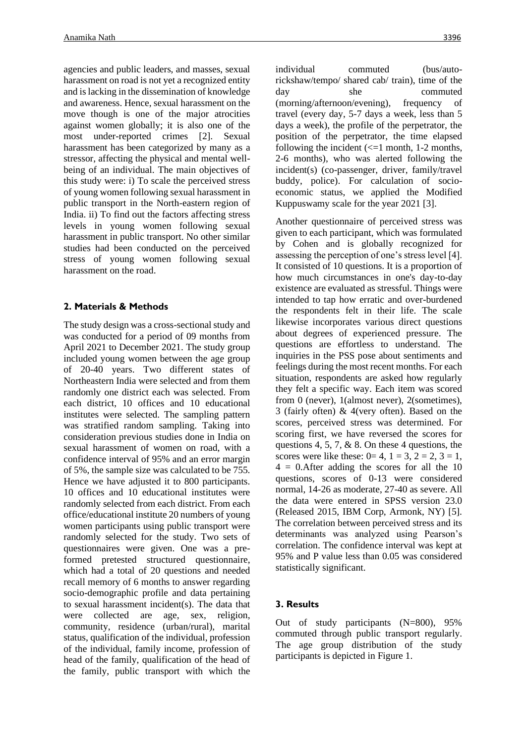agencies and public leaders, and masses, sexual harassment on road is not yet a recognized entity and is lacking in the dissemination of knowledge and awareness. Hence, sexual harassment on the move though is one of the major atrocities against women globally; it is also one of the most under-reported crimes [2]. Sexual harassment has been categorized by many as a stressor, affecting the physical and mental wellbeing of an individual. The main objectives of this study were: i) To scale the perceived stress of young women following sexual harassment in public transport in the North-eastern region of India. ii) To find out the factors affecting stress levels in young women following sexual harassment in public transport. No other similar studies had been conducted on the perceived stress of young women following sexual harassment on the road.

### **2. Materials & Methods**

The study design was a cross-sectional study and was conducted for a period of 09 months from April 2021 to December 2021. The study group included young women between the age group of 20-40 years. Two different states of Northeastern India were selected and from them randomly one district each was selected. From each district, 10 offices and 10 educational institutes were selected. The sampling pattern was stratified random sampling. Taking into consideration previous studies done in India on sexual harassment of women on road, with a confidence interval of 95% and an error margin of 5%, the sample size was calculated to be 755. Hence we have adjusted it to 800 participants. 10 offices and 10 educational institutes were randomly selected from each district. From each office/educational institute 20 numbers of young women participants using public transport were randomly selected for the study. Two sets of questionnaires were given. One was a preformed pretested structured questionnaire, which had a total of 20 questions and needed recall memory of 6 months to answer regarding socio-demographic profile and data pertaining to sexual harassment incident(s). The data that were collected are age, sex, religion, community, residence (urban/rural), marital status, qualification of the individual, profession of the individual, family income, profession of head of the family, qualification of the head of the family, public transport with which the

individual commuted (bus/autorickshaw/tempo/ shared cab/ train), time of the day she commuted (morning/afternoon/evening), frequency of travel (every day, 5-7 days a week, less than 5 days a week), the profile of the perpetrator, the position of the perpetrator, the time elapsed following the incident  $\ll$  =1 month, 1-2 months, 2-6 months), who was alerted following the incident(s) (co-passenger, driver, family/travel buddy, police). For calculation of socioeconomic status, we applied the Modified Kuppuswamy scale for the year 2021 [3].

Another questionnaire of perceived stress was given to each participant, which was formulated by Cohen and is globally recognized for assessing the perception of one's stress level [4]. It consisted of 10 questions. It is a proportion of how much circumstances in one's day-to-day existence are evaluated as stressful. Things were intended to tap how erratic and over-burdened the respondents felt in their life. The scale likewise incorporates various direct questions about degrees of experienced pressure. The questions are effortless to understand. The inquiries in the PSS pose about sentiments and feelings during the most recent months. For each situation, respondents are asked how regularly they felt a specific way. Each item was scored from 0 (never), 1(almost never), 2(sometimes), 3 (fairly often) & 4(very often). Based on the scores, perceived stress was determined. For scoring first, we have reversed the scores for questions 4, 5, 7,  $\&$  8. On these 4 questions, the scores were like these:  $0=4$ ,  $1=3$ ,  $2=2$ ,  $3=1$ , 4 = 0.After adding the scores for all the 10 questions, scores of 0-13 were considered normal, 14-26 as moderate, 27-40 as severe. All the data were entered in SPSS version 23.0 (Released 2015, IBM Corp, Armonk, NY) [5]. The correlation between perceived stress and its determinants was analyzed using Pearson's correlation. The confidence interval was kept at 95% and P value less than 0.05 was considered statistically significant.

## **3. Results**

Out of study participants (N=800), 95% commuted through public transport regularly. The age group distribution of the study participants is depicted in Figure 1.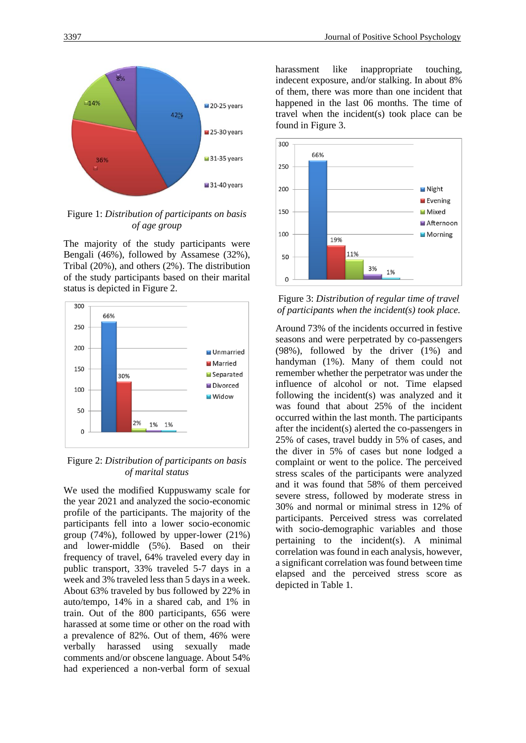

Figure 1: *Distribution of participants on basis of age group*

The majority of the study participants were Bengali (46%), followed by Assamese (32%), Tribal (20%), and others (2%). The distribution of the study participants based on their marital status is depicted in Figure 2.



Figure 2: *Distribution of participants on basis of marital status*

We used the modified Kuppuswamy scale for the year 2021 and analyzed the socio-economic profile of the participants. The majority of the participants fell into a lower socio-economic group (74%), followed by upper-lower (21%) and lower-middle (5%). Based on their frequency of travel, 64% traveled every day in public transport, 33% traveled 5-7 days in a week and 3% traveled less than 5 days in a week. About 63% traveled by bus followed by 22% in auto/tempo, 14% in a shared cab, and 1% in train. Out of the 800 participants, 656 were harassed at some time or other on the road with a prevalence of 82%. Out of them, 46% were verbally harassed using sexually made comments and/or obscene language. About 54% had experienced a non-verbal form of sexual

harassment like inappropriate touching, indecent exposure, and/or stalking. In about 8% of them, there was more than one incident that happened in the last 06 months. The time of travel when the incident(s) took place can be found in Figure 3.



Figure 3: *Distribution of regular time of travel of participants when the incident(s) took place.*

Around 73% of the incidents occurred in festive seasons and were perpetrated by co-passengers (98%), followed by the driver (1%) and handyman (1%). Many of them could not remember whether the perpetrator was under the influence of alcohol or not. Time elapsed following the incident(s) was analyzed and it was found that about 25% of the incident occurred within the last month. The participants after the incident(s) alerted the co-passengers in 25% of cases, travel buddy in 5% of cases, and the diver in 5% of cases but none lodged a complaint or went to the police. The perceived stress scales of the participants were analyzed and it was found that 58% of them perceived severe stress, followed by moderate stress in 30% and normal or minimal stress in 12% of participants. Perceived stress was correlated with socio-demographic variables and those pertaining to the incident(s). A minimal correlation was found in each analysis, however, a significant correlation was found between time elapsed and the perceived stress score as depicted in Table 1.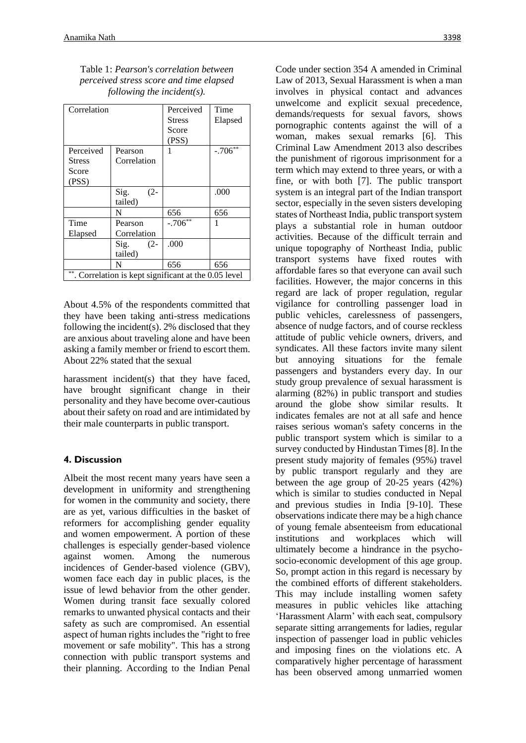Table 1: *Pearson's correlation between perceived stress score and time elapsed following the incident(s).*

| Correlation                                           |                           | Perceived<br><b>Stress</b><br>Score<br>(PSS) | Time<br>Elapsed |
|-------------------------------------------------------|---------------------------|----------------------------------------------|-----------------|
| Perceived<br><b>Stress</b><br>Score<br>(PSS)          | Pearson<br>Correlation    | 1                                            | $-.706**$       |
|                                                       | Sig.<br>$(2 -$<br>tailed) |                                              | .000            |
|                                                       | N                         | 656                                          | 656             |
| Time<br>Elapsed                                       | Pearson<br>Correlation    | $-.706**$                                    |                 |
|                                                       | $(2 -$<br>Sig.<br>tailed) | .000                                         |                 |
|                                                       | N                         | 656                                          | 656             |
| **. Correlation is kept significant at the 0.05 level |                           |                                              |                 |

About 4.5% of the respondents committed that they have been taking anti-stress medications following the incident(s). 2% disclosed that they are anxious about traveling alone and have been asking a family member or friend to escort them. About 22% stated that the sexual

harassment incident(s) that they have faced, have brought significant change in their personality and they have become over-cautious about their safety on road and are intimidated by their male counterparts in public transport.

## **4. Discussion**

Albeit the most recent many years have seen a development in uniformity and strengthening for women in the community and society, there are as yet, various difficulties in the basket of reformers for accomplishing gender equality and women empowerment. A portion of these challenges is especially gender-based violence against women. Among the numerous incidences of Gender-based violence (GBV), women face each day in public places, is the issue of lewd behavior from the other gender. Women during transit face sexually colored remarks to unwanted physical contacts and their safety as such are compromised. An essential aspect of human rights includes the "right to free movement or safe mobility". This has a strong connection with public transport systems and their planning. According to the Indian Penal Code under section 354 A amended in Criminal Law of 2013, Sexual Harassment is when a man involves in physical contact and advances unwelcome and explicit sexual precedence, demands/requests for sexual favors, shows pornographic contents against the will of a woman, makes sexual remarks [6]. This Criminal Law Amendment 2013 also describes the punishment of rigorous imprisonment for a term which may extend to three years, or with a fine, or with both [7]. The public transport system is an integral part of the Indian transport sector, especially in the seven sisters developing states of Northeast India, public transport system plays a substantial role in human outdoor activities. Because of the difficult terrain and unique topography of Northeast India, public transport systems have fixed routes with affordable fares so that everyone can avail such facilities. However, the major concerns in this regard are lack of proper regulation, regular vigilance for controlling passenger load in public vehicles, carelessness of passengers, absence of nudge factors, and of course reckless attitude of public vehicle owners, drivers, and syndicates. All these factors invite many silent but annoying situations for the female passengers and bystanders every day. In our study group prevalence of sexual harassment is alarming (82%) in public transport and studies around the globe show similar results. It indicates females are not at all safe and hence raises serious woman's safety concerns in the public transport system which is similar to a survey conducted by Hindustan Times [8]. In the present study majority of females (95%) travel by public transport regularly and they are between the age group of 20-25 years (42%) which is similar to studies conducted in Nepal and previous studies in India [9-10]. These observations indicate there may be a high chance of young female absenteeism from educational institutions and workplaces which will ultimately become a hindrance in the psychosocio-economic development of this age group. So, prompt action in this regard is necessary by the combined efforts of different stakeholders. This may include installing women safety measures in public vehicles like attaching 'Harassment Alarm' with each seat, compulsory separate sitting arrangements for ladies, regular inspection of passenger load in public vehicles and imposing fines on the violations etc. A comparatively higher percentage of harassment has been observed among unmarried women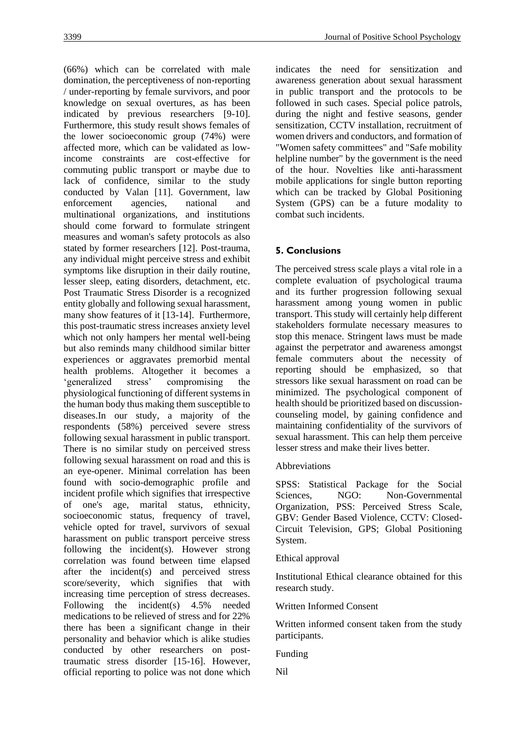(66%) which can be correlated with male domination, the perceptiveness of non-reporting / under-reporting by female survivors, and poor knowledge on sexual overtures, as has been indicated by previous researchers [9-10]. Furthermore, this study result shows females of the lower socioeconomic group (74%) were affected more, which can be validated as lowincome constraints are cost-effective for commuting public transport or maybe due to lack of confidence, similar to the study conducted by Valan [11]. Government, law enforcement agencies, national and multinational organizations, and institutions should come forward to formulate stringent measures and woman's safety protocols as also stated by former researchers [12]. Post-trauma, any individual might perceive stress and exhibit symptoms like disruption in their daily routine, lesser sleep, eating disorders, detachment, etc. Post Traumatic Stress Disorder is a recognized entity globally and following sexual harassment, many show features of it [13-14]. Furthermore, this post-traumatic stress increases anxiety level which not only hampers her mental well-being but also reminds many childhood similar bitter experiences or aggravates premorbid mental health problems. Altogether it becomes a 'generalized stress' compromising the physiological functioning of different systems in the human body thus making them susceptible to diseases.In our study, a majority of the respondents (58%) perceived severe stress following sexual harassment in public transport. There is no similar study on perceived stress following sexual harassment on road and this is an eye-opener. Minimal correlation has been found with socio-demographic profile and incident profile which signifies that irrespective of one's age, marital status, ethnicity, socioeconomic status, frequency of travel, vehicle opted for travel, survivors of sexual harassment on public transport perceive stress following the incident(s). However strong correlation was found between time elapsed after the incident(s) and perceived stress score/severity, which signifies that with increasing time perception of stress decreases. Following the incident(s) 4.5% needed medications to be relieved of stress and for 22% there has been a significant change in their personality and behavior which is alike studies conducted by other researchers on posttraumatic stress disorder [15-16]. However, official reporting to police was not done which

indicates the need for sensitization and awareness generation about sexual harassment in public transport and the protocols to be followed in such cases. Special police patrols, during the night and festive seasons, gender sensitization, CCTV installation, recruitment of women drivers and conductors, and formation of "Women safety committees" and "Safe mobility helpline number" by the government is the need of the hour. Novelties like anti-harassment mobile applications for single button reporting which can be tracked by Global Positioning System (GPS) can be a future modality to combat such incidents.

## **5. Conclusions**

The perceived stress scale plays a vital role in a complete evaluation of psychological trauma and its further progression following sexual harassment among young women in public transport. This study will certainly help different stakeholders formulate necessary measures to stop this menace. Stringent laws must be made against the perpetrator and awareness amongst female commuters about the necessity of reporting should be emphasized, so that stressors like sexual harassment on road can be minimized. The psychological component of health should be prioritized based on discussioncounseling model, by gaining confidence and maintaining confidentiality of the survivors of sexual harassment. This can help them perceive lesser stress and make their lives better.

## Abbreviations

SPSS: Statistical Package for the Social Sciences, NGO: Non-Governmental Organization, PSS: Perceived Stress Scale, GBV: Gender Based Violence, CCTV: Closed-Circuit Television, GPS; Global Positioning System.

#### Ethical approval

Institutional Ethical clearance obtained for this research study.

#### Written Informed Consent

Written informed consent taken from the study participants.

Funding

Nil